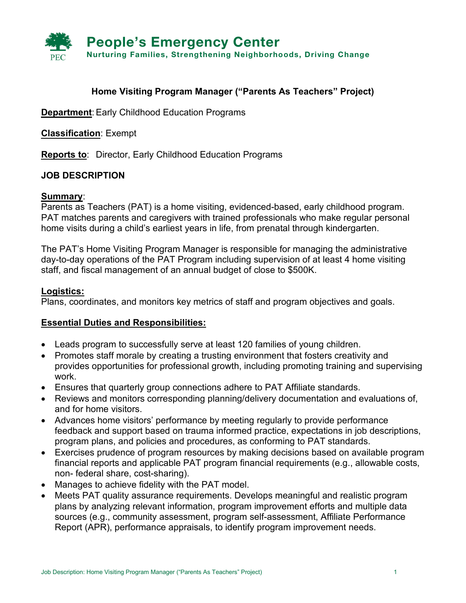

# **Home Visiting Program Manager ("Parents As Teachers" Project)**

**Department:** Early Childhood Education Programs

**Classification**: Exempt

**Reports to**: Director, Early Childhood Education Programs

## **JOB DESCRIPTION**

#### **Summary**:

Parents as Teachers (PAT) is a home visiting, evidenced-based, early childhood program. PAT matches parents and caregivers with trained professionals who make regular personal home visits during a child's earliest years in life, from prenatal through kindergarten.

The PAT's Home Visiting Program Manager is responsible for managing the administrative day-to-day operations of the PAT Program including supervision of at least 4 home visiting staff, and fiscal management of an annual budget of close to \$500K.

#### **Logistics:**

Plans, coordinates, and monitors key metrics of staff and program objectives and goals.

#### **Essential Duties and Responsibilities:**

- Leads program to successfully serve at least 120 families of young children.
- Promotes staff morale by creating a trusting environment that fosters creativity and provides opportunities for professional growth, including promoting training and supervising work.
- Ensures that quarterly group connections adhere to PAT Affiliate standards.
- Reviews and monitors corresponding planning/delivery documentation and evaluations of, and for home visitors.
- Advances home visitors' performance by meeting regularly to provide performance feedback and support based on trauma informed practice, expectations in job descriptions, program plans, and policies and procedures, as conforming to PAT standards.
- Exercises prudence of program resources by making decisions based on available program financial reports and applicable PAT program financial requirements (e.g., allowable costs, non- federal share, cost-sharing).
- Manages to achieve fidelity with the PAT model.
- Meets PAT quality assurance requirements. Develops meaningful and realistic program plans by analyzing relevant information, program improvement efforts and multiple data sources (e.g., community assessment, program self-assessment, Affiliate Performance Report (APR), performance appraisals, to identify program improvement needs.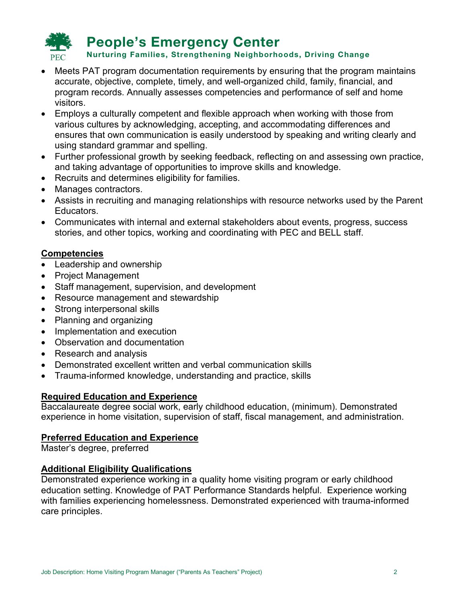

- Meets PAT program documentation requirements by ensuring that the program maintains accurate, objective, complete, timely, and well-organized child, family, financial, and program records. Annually assesses competencies and performance of self and home visitors.
- Employs a culturally competent and flexible approach when working with those from various cultures by acknowledging, accepting, and accommodating differences and ensures that own communication is easily understood by speaking and writing clearly and using standard grammar and spelling.
- Further professional growth by seeking feedback, reflecting on and assessing own practice, and taking advantage of opportunities to improve skills and knowledge.
- Recruits and determines eligibility for families.
- Manages contractors.
- Assists in recruiting and managing relationships with resource networks used by the Parent Educators.
- Communicates with internal and external stakeholders about events, progress, success stories, and other topics, working and coordinating with PEC and BELL staff.

## **Competencies**

- Leadership and ownership
- Project Management
- Staff management, supervision, and development
- Resource management and stewardship
- Strong interpersonal skills
- Planning and organizing
- Implementation and execution
- Observation and documentation
- Research and analysis
- Demonstrated excellent written and verbal communication skills
- Trauma-informed knowledge, understanding and practice, skills

#### **Required Education and Experience**

Baccalaureate degree social work, early childhood education, (minimum). Demonstrated experience in home visitation, supervision of staff, fiscal management, and administration.

#### **Preferred Education and Experience**

Master's degree, preferred

#### **Additional Eligibility Qualifications**

Demonstrated experience working in a quality home visiting program or early childhood education setting. Knowledge of PAT Performance Standards helpful. Experience working with families experiencing homelessness. Demonstrated experienced with trauma-informed care principles.